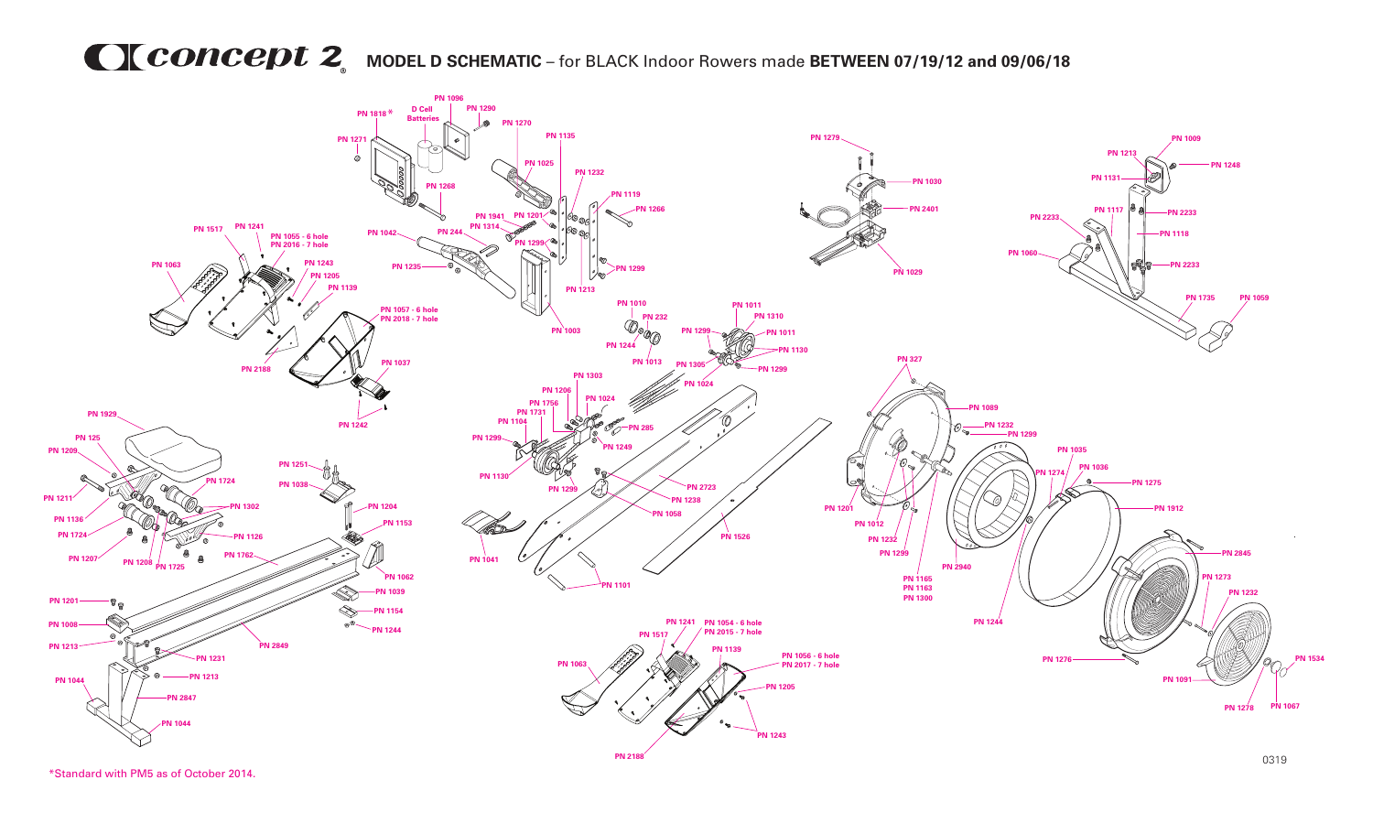## **MCONCEDU 2** MODEL D SCHEMATIC – for BLACK Indoor Rowers made BETWEEN 07/19/12 and 09/06/18



\*Standard with PM5 as of October 2014.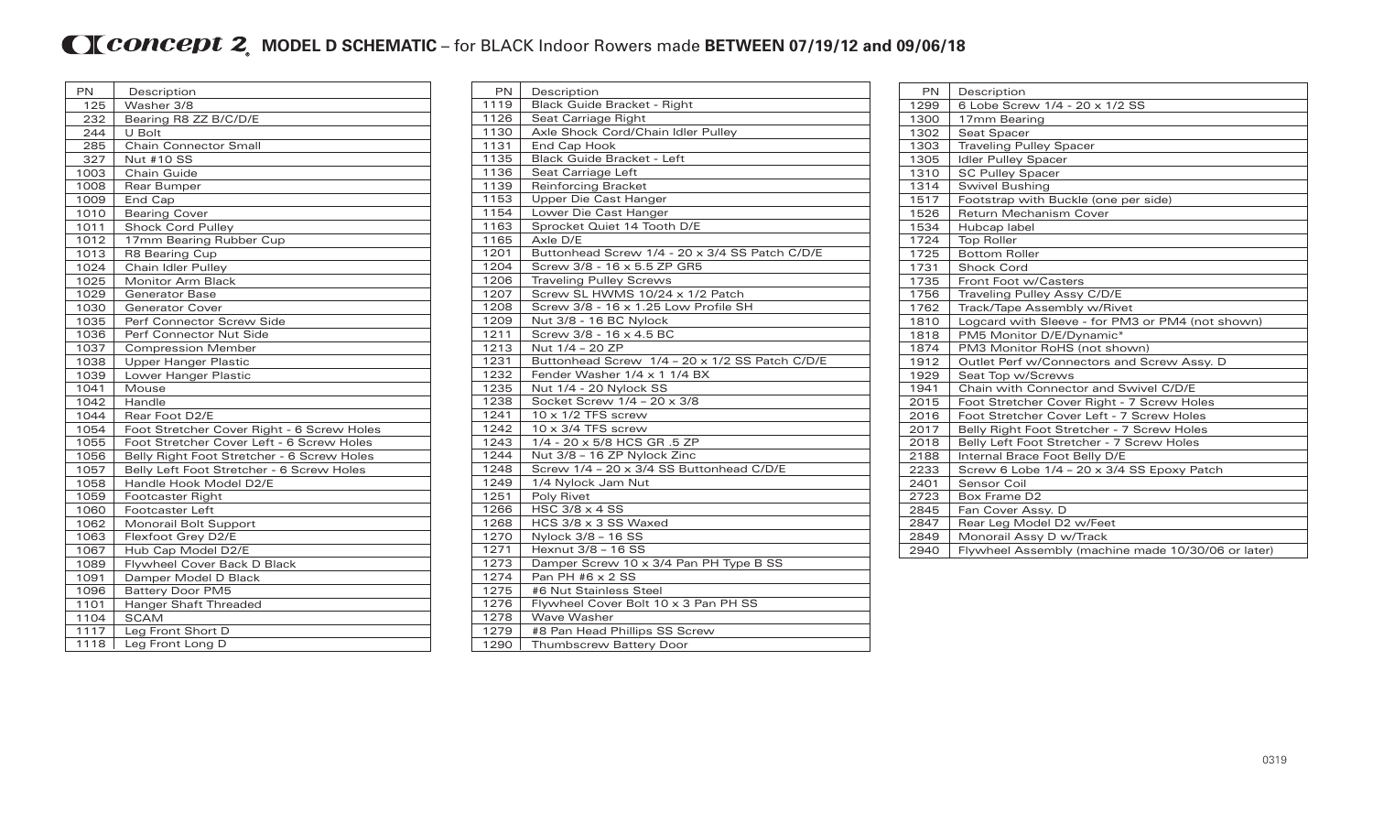## **MODEL D SCHEMATIC** – for BLACK Indoor Rowers made BETWEEN 07/19/12 and 09/06/18

| PN   | Description                                |
|------|--------------------------------------------|
| 125  | Washer 3/8                                 |
| 232  | Bearing R8 ZZ B/C/D/E                      |
| 244  | U Bolt                                     |
| 285  | <b>Chain Connector Small</b>               |
| 327  | <b>Nut #10 SS</b>                          |
| 1003 | Chain Guide                                |
| 1008 | Rear Bumper                                |
| 1009 | End Cap                                    |
| 1010 | <b>Bearing Cover</b>                       |
| 1011 | <b>Shock Cord Pulley</b>                   |
| 1012 | 17mm Bearing Rubber Cup                    |
| 1013 | <b>R8 Bearing Cup</b>                      |
| 1024 | Chain Idler Pulley                         |
| 1025 | <b>Monitor Arm Black</b>                   |
| 1029 | <b>Generator Base</b>                      |
| 1030 | <b>Generator Cover</b>                     |
| 1035 | Perf Connector Screw Side                  |
| 1036 | Perf Connector Nut Side                    |
| 1037 | <b>Compression Member</b>                  |
| 1038 | <b>Upper Hanger Plastic</b>                |
| 1039 | Lower Hanger Plastic                       |
| 1041 | Mouse                                      |
| 1042 | Handle                                     |
| 1044 | Rear Foot D2/E                             |
| 1054 | Foot Stretcher Cover Right - 6 Screw Holes |
| 1055 | Foot Stretcher Cover Left - 6 Screw Holes  |
| 1056 | Belly Right Foot Stretcher - 6 Screw Holes |
| 1057 | Belly Left Foot Stretcher - 6 Screw Holes  |
| 1058 | Handle Hook Model D2/E                     |
| 1059 | Footcaster Right                           |
| 1060 | <b>Footcaster Left</b>                     |
| 1062 | Monorail Bolt Support                      |
| 1063 | Flexfoot Grey D2/E                         |
| 1067 | Hub Cap Model D2/E                         |
| 1089 | Flywheel Cover Back D Black                |
| 1091 | Damper Model D Black                       |
| 1096 | <b>Battery Door PM5</b>                    |
| 1101 | Hanger Shaft Threaded                      |
| 1104 | <b>SCAM</b>                                |
| 1117 | Leg Front Short D                          |
| 1118 | Leg Front Long D                           |

| PN   | Description                                    |
|------|------------------------------------------------|
| 1119 | Black Guide Bracket - Right                    |
| 1126 | Seat Carriage Right                            |
| 1130 | Axle Shock Cord/Chain Idler Pulley             |
| 1131 | End Cap Hook                                   |
| 1135 | Black Guide Bracket - Left                     |
| 1136 | Seat Carriage Left                             |
| 1139 | <b>Reinforcing Bracket</b>                     |
| 1153 | Upper Die Cast Hanger                          |
| 1154 | Lower Die Cast Hanger                          |
| 1163 | Sprocket Quiet 14 Tooth D/E                    |
| 1165 | Axle D/E                                       |
| 1201 | Buttonhead Screw 1/4 - 20 x 3/4 SS Patch C/D/E |
| 1204 | Screw 3/8 - 16 x 5.5 ZP GR5                    |
| 1206 | <b>Traveling Pulley Screws</b>                 |
| 1207 | Screw SL HWMS 10/24 x 1/2 Patch                |
| 1208 | Screw 3/8 - 16 x 1.25 Low Profile SH           |
| 1209 | Nut 3/8 - 16 BC Nylock                         |
| 1211 | Screw 3/8 - 16 x 4.5 BC                        |
| 1213 | Nut 1/4 - 20 ZP                                |
| 1231 | Buttonhead Screw 1/4 - 20 x 1/2 SS Patch C/D/E |
| 1232 | Fender Washer 1/4 x 1 1/4 BX                   |
| 1235 | Nut 1/4 - 20 Nylock SS                         |
| 1238 | Socket Screw 1/4 - 20 x 3/8                    |
| 1241 | $10 \times 1/2$ TFS screw                      |
| 1242 | $10 \times 3/4$ TFS screw                      |
| 1243 | 1/4 - 20 x 5/8 HCS GR .5 ZP                    |
| 1244 | Nut 3/8 - 16 ZP Nylock Zinc                    |
| 1248 | Screw 1/4 - 20 x 3/4 SS Buttonhead C/D/E       |
| 1249 | 1/4 Nylock Jam Nut                             |
| 1251 | Poly Rivet                                     |
| 1266 | HSC $3/8 \times 4$ SS                          |
| 1268 | HCS 3/8 x 3 SS Waxed                           |
| 1270 | Nylock 3/8 - 16 SS                             |
| 1271 | Hexnut 3/8 - 16 SS                             |
| 1273 | Damper Screw 10 x 3/4 Pan PH Type B SS         |
| 1274 | Pan PH #6 x 2 SS                               |
| 1275 | #6 Nut Stainless Steel                         |
| 1276 | Flywheel Cover Bolt 10 x 3 Pan PH SS           |
| 1278 | Wave Washer                                    |
| 1279 | #8 Pan Head Phillips SS Screw                  |
| 1290 | <b>Thumbscrew Battery Door</b>                 |

| <b>PN</b> | Description                                        |
|-----------|----------------------------------------------------|
| 1299      | 6 Lobe Screw 1/4 - 20 x 1/2 SS                     |
| 1300      | 17mm Bearing                                       |
| 1302      | Seat Spacer                                        |
| 1303      | <b>Traveling Pulley Spacer</b>                     |
| 1305      | <b>Idler Pulley Spacer</b>                         |
| 1310      | <b>SC Pulley Spacer</b>                            |
| 1314      | <b>Swivel Bushing</b>                              |
| 1517      | Footstrap with Buckle (one per side)               |
| 1526      | <b>Return Mechanism Cover</b>                      |
| 1534      | Hubcap label                                       |
| 1724      | <b>Top Roller</b>                                  |
| 1725      | <b>Bottom Roller</b>                               |
| 1731      | <b>Shock Cord</b>                                  |
| 1735      | Front Foot w/Casters                               |
| 1756      | Traveling Pulley Assy C/D/E                        |
| 1762      | Track/Tape Assembly w/Rivet                        |
| 1810      | Logcard with Sleeve - for PM3 or PM4 (not shown)   |
| 1818      | PM5 Monitor D/E/Dynamic*                           |
| 1874      | PM3 Monitor RoHS (not shown)                       |
| 1912      | Outlet Perf w/Connectors and Screw Assy. D         |
| 1929      | Seat Top w/Screws                                  |
| 1941      | Chain with Connector and Swivel C/D/E              |
| 2015      | Foot Stretcher Cover Right - 7 Screw Holes         |
| 2016      | Foot Stretcher Cover Left - 7 Screw Holes          |
| 2017      | Belly Right Foot Stretcher - 7 Screw Holes         |
| 2018      | Belly Left Foot Stretcher - 7 Screw Holes          |
| 2188      | Internal Brace Foot Belly D/E                      |
| 2233      | Screw 6 Lobe 1/4 - 20 x 3/4 SS Epoxy Patch         |
| 2401      | Sensor Coil                                        |
| 2723      | Box Frame D2                                       |
| 2845      | Fan Cover Assy. D                                  |
| 2847      | Rear Leg Model D2 w/Feet                           |
| 2849      | Monorail Assy D w/Track                            |
| 2940      | Flywheel Assembly (machine made 10/30/06 or later) |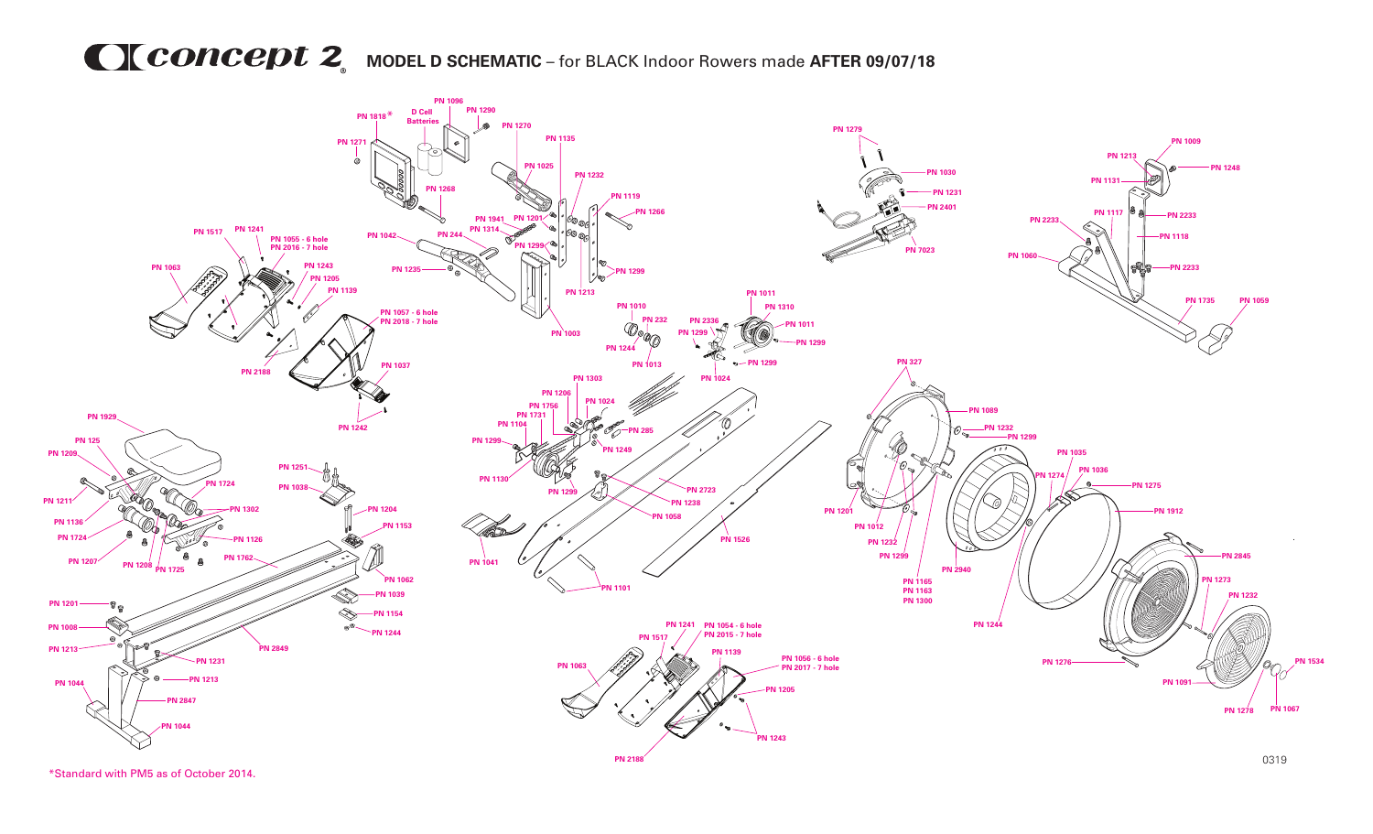## **MCONCEDU 2** MODEL D SCHEMATIC – for BLACK Indoor Rowers made AFTER 09/07/18



\*Standard with PM5 as of October 2014.